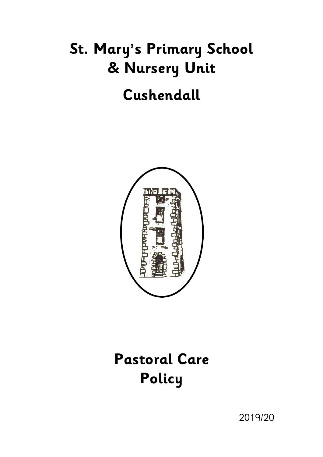# **St. Mary's Primary School & Nursery Unit**

## **Cushendall**



## **Pastoral Care Policy**

2019/20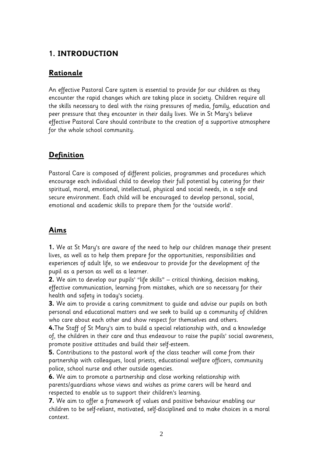## **1. INTRODUCTION**

#### **Rationale**

An effective Pastoral Care system is essential to provide for our children as they encounter the rapid changes which are taking place in society. Children require all the skills necessary to deal with the rising pressures of media, family, education and peer pressure that they encounter in their daily lives. We in St Mary's believe effective Pastoral Care should contribute to the creation of a supportive atmosphere for the whole school community.

## **Definition**

Pastoral Care is composed of different policies, programmes and procedures which encourage each individual child to develop their full potential by catering for their spiritual, moral, emotional, intellectual, physical and social needs, in a safe and secure environment. Each child will be encouraged to develop personal, social, emotional and academic skills to prepare them for the 'outside world'.

## **Aims**

**1.** We at St Mary's are aware of the need to help our children manage their present lives, as well as to help them prepare for the opportunities, responsibilities and experiences of adult life, so we endeavour to provide for the development of the pupil as a person as well as a learner.

**2.** We aim to develop our pupils' "life skills" – critical thinking, decision making, effective communication, learning from mistakes, which are so necessary for their health and safety in today's society.

**3.** We aim to provide a caring commitment to guide and advise our pupils on both personal and educational matters and we seek to build up a community of children who care about each other and show respect for themselves and others.

**4.**The Staff of St Mary's aim to build a special relationship with, and a knowledge of, the children in their care and thus endeavour to raise the pupils' social awareness, promote positive attitudes and build their self-esteem.

**5.** Contributions to the pastoral work of the class teacher will come from their partnership with colleagues, local priests, educational welfare officers, community police, school nurse and other outside agencies.

**6.** We aim to promote a partnership and close working relationship with parents/guardians whose views and wishes as prime carers will be heard and respected to enable us to support their children's learning.

**7.** We aim to offer a framework of values and positive behaviour enabling our children to be self-reliant, motivated, self-disciplined and to make choices in a moral context.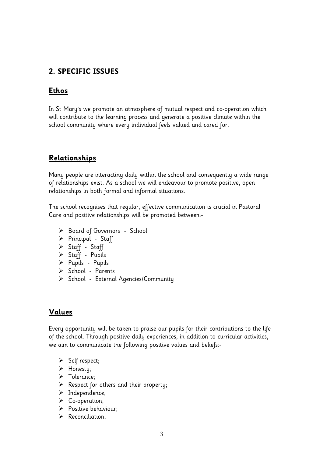#### **2. SPECIFIC ISSUES**

#### **Ethos**

In St Mary's we promote an atmosphere of mutual respect and co-operation which will contribute to the learning process and generate a positive climate within the school community where every individual feels valued and cared for.

#### **Relationships**

Many people are interacting daily within the school and consequently a wide range of relationships exist. As a school we will endeavour to promote positive, open relationships in both formal and informal situations.

The school recognises that regular, effective communication is crucial in Pastoral Care and positive relationships will be promoted between:-

- > Board of Governors School
- $\triangleright$  Principal Staff
- > Staff Staff
- > Staff Pupils
- $\triangleright$  Pupils Pupils
- > School Parents
- $\triangleright$  School External Agencies/Community

#### **Values**

Every opportunity will be taken to praise our pupils for their contributions to the life of the school. Through positive daily experiences, in addition to curricular activities, we aim to communicate the following positive values and beliefs:-

- $\triangleright$  Self-respect;
- > Honesty;
- > Tolerance;
- $\triangleright$  Respect for others and their property;
- $\triangleright$  Independence;
- $\triangleright$  Co-operation;
- $\triangleright$  Positive behaviour;
- $\triangleright$  Reconciliation.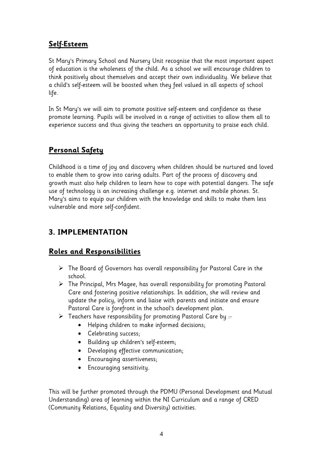#### **Self-Esteem**

St Mary's Primary School and Nursery Unit recognise that the most important aspect of education is the wholeness of the child. As a school we will encourage children to think positively about themselves and accept their own individuality. We believe that a child's self-esteem will be boosted when they feel valued in all aspects of school life.

In St Mary's we will aim to promote positive self-esteem and confidence as these promote learning. Pupils will be involved in a range of activities to allow them all to experience success and thus giving the teachers an opportunity to praise each child.

### **Personal Safety**

Childhood is a time of joy and discovery when children should be nurtured and loved to enable them to grow into caring adults. Part of the process of discovery and growth must also help children to learn how to cope with potential dangers. The safe use of technology is an increasing challenge e.g. internet and mobile phones. St. Mary's aims to equip our children with the knowledge and skills to make them less vulnerable and more self-confident.

## **3. IMPLEMENTATION**

### **Roles and Responsibilities**

- The Board of Governors has overall responsibility for Pastoral Care in the school.
- The Principal, Mrs Magee, has overall responsibility for promoting Pastoral Care and fostering positive relationships. In addition, she will review and update the policy, inform and liaise with parents and initiate and ensure Pastoral Care is forefront in the school's development plan.
- Teachers have responsibility for promoting Pastoral Care by :-
	- Helping children to make informed decisions;
	- Celebrating success;
	- Building up children's self-esteem;
	- Developing effective communication;
	- Encouraging assertiveness;
	- Encouraging sensitivity.

This will be further promoted through the PDMU (Personal Development and Mutual Understanding) area of learning within the NI Curriculum and a range of CRED (Community Relations, Equality and Diversity) activities.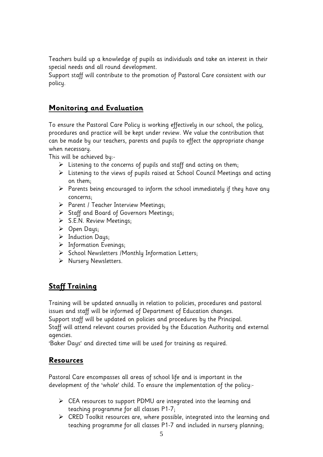Teachers build up a knowledge of pupils as individuals and take an interest in their special needs and all round development.

Support staff will contribute to the promotion of Pastoral Care consistent with our policy.

#### **Monitoring and Evaluation**

To ensure the Pastoral Care Policy is working effectively in our school, the policy, procedures and practice will be kept under review. We value the contribution that can be made by our teachers, parents and pupils to effect the appropriate change when necessary.

This will be achieved by:-

- $\triangleright$  Listening to the concerns of pupils and staff and acting on them;
- Listening to the views of pupils raised at School Council Meetings and acting on them;
- $\triangleright$  Parents being encouraged to inform the school immediately if they have any concerns;
- $\triangleright$  Parent / Teacher Interview Meetings;
- Staff and Board of Governors Meetings;
- $\triangleright$  S.E.N. Review Meetings;
- $\triangleright$  Open Days;
- $\triangleright$  Induction Days;
- $\triangleright$  Information Evenings;
- $\triangleright$  School Newsletters /Monthly Information Letters;
- > Nursery Newsletters.

## **Staff Training**

Training will be updated annually in relation to policies, procedures and pastoral issues and staff will be informed of Department of Education changes.

Support staff will be updated on policies and procedures by the Principal.

Staff will attend relevant courses provided by the Education Authority and external agencies.

'Baker Days' and directed time will be used for training as required.

#### **Resources**

Pastoral Care encompasses all areas of school life and is important in the development of the 'whole' child. To ensure the implementation of the policy:-

- CEA resources to support PDMU are integrated into the learning and teaching programme for all classes P1-7;
- $\triangleright$  CRED Toolkit resources are, where possible, integrated into the learning and teaching programme for all classes P1-7 and included in nursery planning;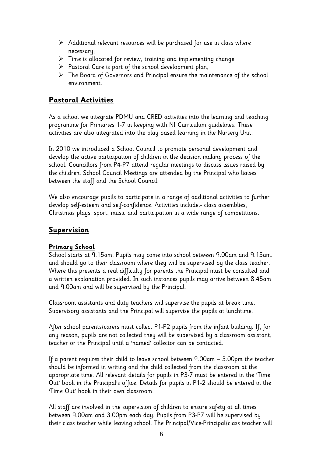- $\triangleright$  Additional relevant resources will be purchased for use in class where necessary;
- $\triangleright$  Time is allocated for review, training and implementing change;
- $\triangleright$  Pastoral Care is part of the school development plan;
- The Board of Governors and Principal ensure the maintenance of the school environment.

#### **Pastoral Activities**

As a school we integrate PDMU and CRED activities into the learning and teaching programme for Primaries 1-7 in keeping with NI Curriculum guidelines. These activities are also integrated into the play based learning in the Nursery Unit.

In 2010 we introduced a School Council to promote personal development and develop the active participation of children in the decision making process of the school. Councillors from P4-P7 attend regular meetings to discuss issues raised by the children. School Council Meetings are attended by the Principal who liaises between the staff and the School Council.

We also encourage pupils to participate in a range of additional activities to further develop self-esteem and self-confidence. Activities include:- class assemblies, Christmas plays, sport, music and participation in a wide range of competitions.

#### **Supervision**

#### **Primary School**

School starts at 9.15am. Pupils may come into school between 9.00am and 9.15am. and should go to their classroom where they will be supervised by the class teacher. Where this presents a real difficulty for parents the Principal must be consulted and a written explanation provided. In such instances pupils may arrive between 8.45am and 9.00am and will be supervised by the Principal.

Classroom assistants and duty teachers will supervise the pupils at break time. Supervisory assistants and the Principal will supervise the pupils at lunchtime.

After school parents/carers must collect P1-P2 pupils from the infant building. If, for any reason, pupils are not collected they will be supervised by a classroom assistant, teacher or the Principal until a 'named' collector can be contacted.

If a parent requires their child to leave school between 9.00am – 3.00pm the teacher should be informed in writing and the child collected from the classroom at the appropriate time. All relevant details for pupils in P3-7 must be entered in the 'Time Out' book in the Principal's office. Details for pupils in P1-2 should be entered in the 'Time Out' book in their own classroom.

All staff are involved in the supervision of children to ensure safety at all times between 9.00am and 3.00pm each day. Pupils from P3-P7 will be supervised by their class teacher while leaving school. The Principal/Vice-Principal/class teacher will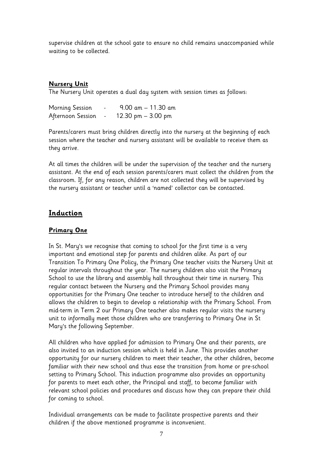supervise children at the school gate to ensure no child remains unaccompanied while waiting to be collected.

#### **Nursery Unit**

The Nursery Unit operates a dual day system with session times as follows:

| Morning Session   | $9.00$ am $-11.30$ am |
|-------------------|-----------------------|
| Afternoon Session | 12.30 pm $-$ 3.00 pm  |

Parents/carers must bring children directly into the nursery at the beginning of each session where the teacher and nursery assistant will be available to receive them as they arrive.

At all times the children will be under the supervision of the teacher and the nursery assistant. At the end of each session parents/carers must collect the children from the classroom. If, for any reason, children are not collected they will be supervised by the nursery assistant or teacher until a 'named' collector can be contacted.

#### **Induction**

#### **Primary One**

In St. Mary's we recognise that coming to school for the first time is a very important and emotional step for parents and children alike. As part of our Transition To Primary One Policy, the Primary One teacher visits the Nursery Unit at regular intervals throughout the year. The nursery children also visit the Primary School to use the library and assembly hall throughout their time in nursery. This regular contact between the Nursery and the Primary School provides many opportunities for the Primary One teacher to introduce herself to the children and allows the children to begin to develop a relationship with the Primary School. From mid-term in Term 2 our Primary One teacher also makes regular visits the nursery unit to informally meet those children who are transferring to Primary One in St Mary's the following September.

All children who have applied for admission to Primary One and their parents, are also invited to an induction session which is held in June. This provides another opportunity for our nursery children to meet their teacher, the other children, become familiar with their new school and thus ease the transition from home or pre-school setting to Primary School. This induction programme also provides an opportunity for parents to meet each other, the Principal and staff, to become familiar with relevant school policies and procedures and discuss how they can prepare their child for coming to school.

Individual arrangements can be made to facilitate prospective parents and their children if the above mentioned programme is inconvenient.